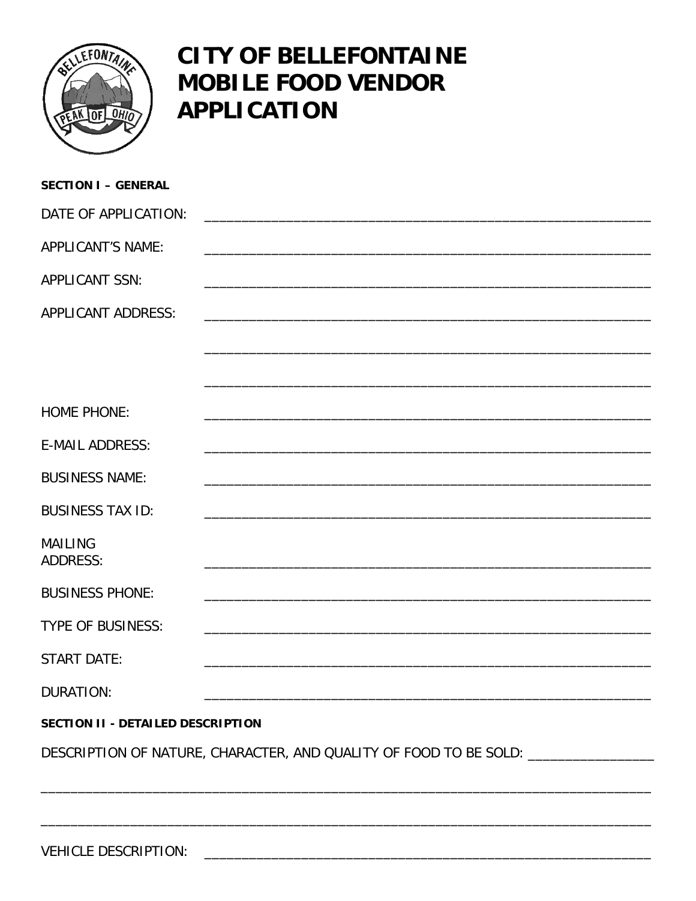

## **CITY OF BELLEFONTAINE MOBILE FOOD VENDOR APPLICATION**

| <b>SECTION I - GENERAL</b>                                                       |  |  |  |  |  |
|----------------------------------------------------------------------------------|--|--|--|--|--|
| DATE OF APPLICATION:                                                             |  |  |  |  |  |
| APPLICANT'S NAME:                                                                |  |  |  |  |  |
| <b>APPLICANT SSN:</b>                                                            |  |  |  |  |  |
| <b>APPLICANT ADDRESS:</b>                                                        |  |  |  |  |  |
|                                                                                  |  |  |  |  |  |
|                                                                                  |  |  |  |  |  |
| <b>HOME PHONE:</b>                                                               |  |  |  |  |  |
| <b>E-MAIL ADDRESS:</b>                                                           |  |  |  |  |  |
| <b>BUSINESS NAME:</b>                                                            |  |  |  |  |  |
| <b>BUSINESS TAX ID:</b>                                                          |  |  |  |  |  |
| <b>MAILING</b><br><b>ADDRESS:</b>                                                |  |  |  |  |  |
| <b>BUSINESS PHONE:</b>                                                           |  |  |  |  |  |
| <b>TYPE OF BUSINESS:</b>                                                         |  |  |  |  |  |
| <b>START DATE:</b>                                                               |  |  |  |  |  |
| <b>DURATION:</b>                                                                 |  |  |  |  |  |
| SECTION II - DETAILED DESCRIPTION                                                |  |  |  |  |  |
| DESCRIPTION OF NATURE, CHARACTER, AND QUALITY OF FOOD TO BE SOLD: ______________ |  |  |  |  |  |
|                                                                                  |  |  |  |  |  |
|                                                                                  |  |  |  |  |  |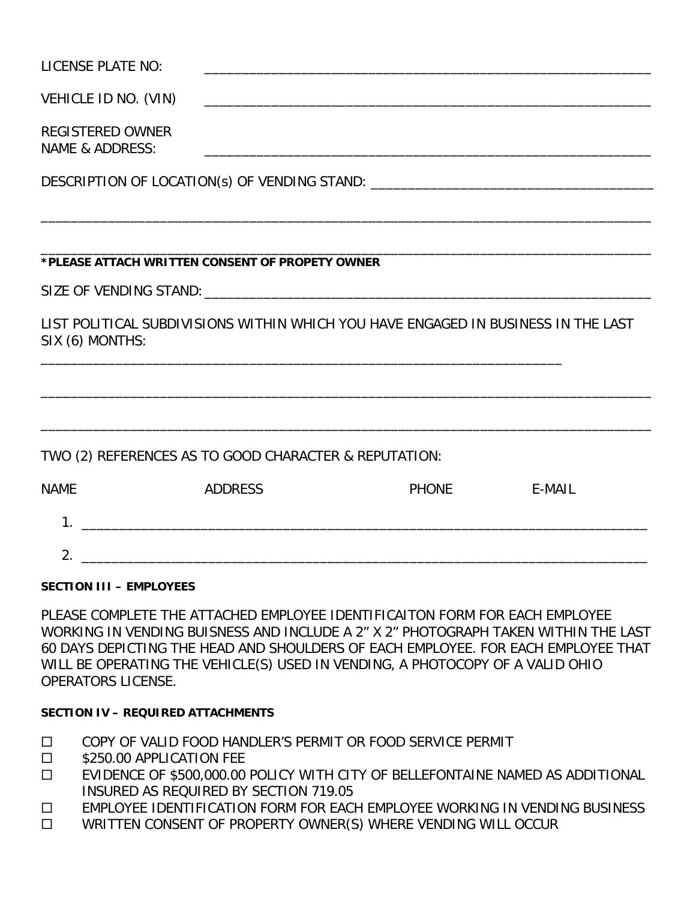| LICENSE PLATE NO:                                                                                    |                |                                                                                                                       |        |  |  |  |
|------------------------------------------------------------------------------------------------------|----------------|-----------------------------------------------------------------------------------------------------------------------|--------|--|--|--|
| VEHICLE ID NO. (VIN)                                                                                 |                |                                                                                                                       |        |  |  |  |
| <b>REGISTERED OWNER</b><br><b>NAME &amp; ADDRESS:</b>                                                |                | <u> 1989 - Johann Stoff, deutscher Stoff, der Stoff, der Stoff, der Stoff, der Stoff, der Stoff, der Stoff, der S</u> |        |  |  |  |
|                                                                                                      |                | DESCRIPTION OF LOCATION(s) OF VENDING STAND: ___________________________________                                      |        |  |  |  |
|                                                                                                      |                |                                                                                                                       |        |  |  |  |
| *PLEASE ATTACH WRITTEN CONSENT OF PROPETY OWNER                                                      |                |                                                                                                                       |        |  |  |  |
|                                                                                                      |                |                                                                                                                       |        |  |  |  |
| LIST POLITICAL SUBDIVISIONS WITHIN WHICH YOU HAVE ENGAGED IN BUSINESS IN THE LAST<br>SIX (6) MONTHS: |                |                                                                                                                       |        |  |  |  |
|                                                                                                      |                |                                                                                                                       |        |  |  |  |
| TWO (2) REFERENCES AS TO GOOD CHARACTER & REPUTATION:                                                |                |                                                                                                                       |        |  |  |  |
| <b>NAME</b>                                                                                          | <b>ADDRESS</b> | <b>PHONE</b>                                                                                                          | E-MAIL |  |  |  |
| 1 <sub>1</sub>                                                                                       |                |                                                                                                                       |        |  |  |  |
| 2.                                                                                                   |                |                                                                                                                       |        |  |  |  |

## **SECTION III – EMPLOYEES**

PLEASE COMPLETE THE ATTACHED EMPLOYEE IDENTIFICAITON FORM FOR EACH EMPLOYEE WORKING IN VENDING BUISNESS AND INCLUDE A 2" X 2" PHOTOGRAPH TAKEN WITHIN THE LAST 60 DAYS DEPICTING THE HEAD AND SHOULDERS OF EACH EMPLOYEE. FOR EACH EMPLOYEE THAT WILL BE OPERATING THE VEHICLE(S) USED IN VENDING, A PHOTOCOPY OF A VALID OHIO OPERATORS LICENSE.

## **SECTION IV – REQUIRED ATTACHMENTS**

- COPY OF VALID FOOD HANDLER'S PERMIT OR FOOD SERVICE PERMIT
- S250.00 APPLICATION FEE
- EVIDENCE OF \$500,000.00 POLICY WITH CITY OF BELLEFONTAINE NAMED AS ADDITIONAL INSURED AS REQUIRED BY SECTION 719.05
- □ EMPLOYEE IDENTIFICATION FORM FOR EACH EMPLOYEE WORKING IN VENDING BUSINESS
- □ WRITTEN CONSENT OF PROPERTY OWNER(S) WHERE VENDING WILL OCCUR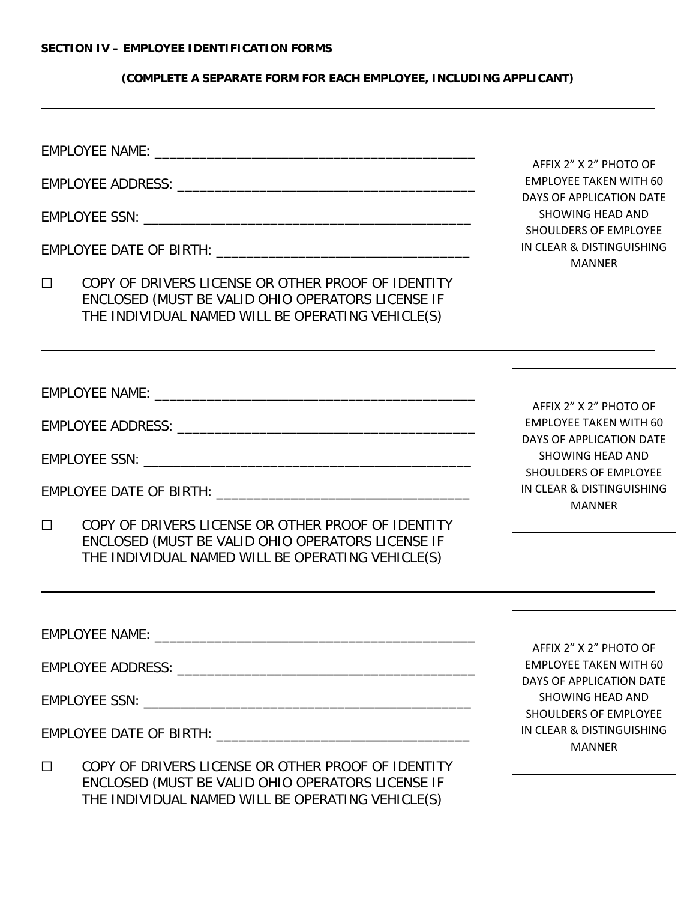## **(COMPLETE A SEPARATE FORM FOR EACH EMPLOYEE, INCLUDING APPLICANT)**

EMPLOYEE NAME: EMPLOYEE ADDRESS: \_\_\_\_\_\_\_\_\_\_\_\_\_\_\_\_\_\_\_\_\_\_\_\_\_\_\_\_\_\_\_\_\_\_\_\_\_\_\_\_ EMPLOYEE SSN: \_\_\_\_\_\_\_\_\_\_\_\_\_\_\_\_\_\_\_\_\_\_\_\_\_\_\_\_\_\_\_\_\_\_\_\_\_\_\_\_\_\_\_\_ EMPLOYEE DATE OF BIRTH: **WE are all that the set of the set of the set of the set of the set of the set of the set of the set of the set of the set of the set of the set of the set of the set of the set of the set of the s** COPY OF DRIVERS LICENSE OR OTHER PROOF OF IDENTITY ENCLOSED (MUST BE VALID OHIO OPERATORS LICENSE IF THE INDIVIDUAL NAMED WILL BE OPERATING VEHICLE(S) EMPLOYEE NAME: **WARRENT AND A CONSTRUCTED** EMPLOYEE ADDRESS: **We are also assigned to the contract of the contract of the contract of the contract of the contract of the contract of the contract of the contract of the contract of the contract of the contract of the** EMPLOYEE SSN: \_\_\_\_\_\_\_\_\_\_\_\_\_\_\_\_\_\_\_\_\_\_\_\_\_\_\_\_\_\_\_\_\_\_\_\_\_\_\_\_\_\_\_\_ EMPLOYEE DATE OF BIRTH: **EXECUTE OF BIRTH** COPY OF DRIVERS LICENSE OR OTHER PROOF OF IDENTITY ENCLOSED (MUST BE VALID OHIO OPERATORS LICENSE IF THE INDIVIDUAL NAMED WILL BE OPERATING VEHICLE(S) EMPLOYEE NAME: **WARRELL** EMPLOYEE ADDRESS: \_\_\_\_\_\_\_\_\_\_\_\_\_\_\_\_\_\_\_\_\_\_\_\_\_\_\_\_\_\_\_\_\_\_\_\_\_\_\_\_ EMPLOYEE SSN: **EMPLOYEE SSN:** EMPLOYEE DATE OF BIRTH: **EXAMPLOYEE** AFFIX 2" X 2" PHOTO OF EMPLOYEE TAKEN WITH 60 DAYS OF APPLICATION DATE SHOWING HEAD AND SHOULDERS OF EMPLOYEE IN CLEAR & DISTINGUISHING MANNER AFFIX 2" X 2" PHOTO OF EMPLOYEE TAKEN WITH 60 DAYS OF APPLICATION DATE SHOWING HEAD AND SHOULDERS OF EMPLOYEE IN CLEAR & DISTINGUISHING MANNER AFFIX 2" X 2" PHOTO OF SHOWING HEAD AND

 COPY OF DRIVERS LICENSE OR OTHER PROOF OF IDENTITY ENCLOSED (MUST BE VALID OHIO OPERATORS LICENSE IF THE INDIVIDUAL NAMED WILL BE OPERATING VEHICLE(S)

EMPLOYEE TAKEN WITH 60 DAYS OF APPLICATION DATE SHOULDERS OF EMPLOYEE IN CLEAR & DISTINGUISHING MANNER